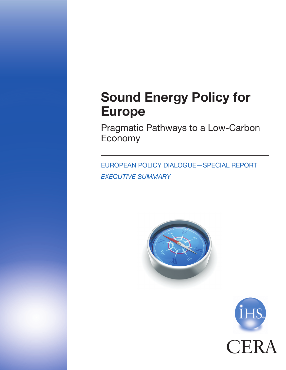# Sound Energy Policy for Europe

Pragmatic Pathways to a Low-Carbon Economy

European Policy Dialogue—Special Report *EXECUTIVE SUMMARY*



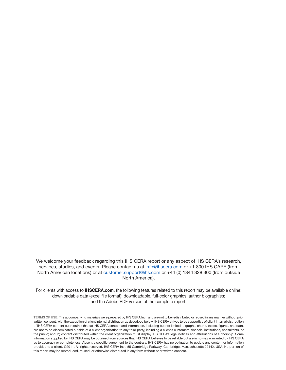We welcome your feedback regarding this IHS CERA report or any aspect of IHS CERA's research, services, studies, and events. Please contact us at [info@ihscera.com](mailto:info@ihscera.com) or +1 800 IHS CARE (from North American locations) or at [customer.support@ihs.com](mailto:customer.support@ihs.com) or +44 (0) 1344 328 300 (from outside North America).

For clients with access to **IHSCERA.com**, the following features related to this report may be available online: downloadable data (excel file format); downloadable, full-color graphics; author biographies; and the Adobe PDF version of the complete report.

Terms of Use. The accompanying materials were prepared by IHS CERA Inc., and are not to be redistributed or reused in any manner without prior written consent, with the exception of client internal distribution as described below. IHS CERA strives to be supportive of client internal distribution of IHS CERA content but requires that (a) IHS CERA content and information, including but not limited to graphs, charts, tables, figures, and data, are not to be disseminated outside of a client organization to any third party, including a client's customers, financial institutions, consultants, or the public; and (b) content distributed within the client organization must display IHS CERA's legal notices and attributions of authorship. Some information supplied by IHS CERA may be obtained from sources that IHS CERA believes to be reliable but are in no way warranted by IHS CERA as to accuracy or completeness. Absent a specific agreement to the contrary, IHS CERA has no obligation to update any content or information provided to a client. ©2011, All rights reserved, IHS CERA Inc., 55 Cambridge Parkway, Cambridge, Massachusetts 02142, USA. No portion of this report may be reproduced, reused, or otherwise distributed in any form without prior written consent.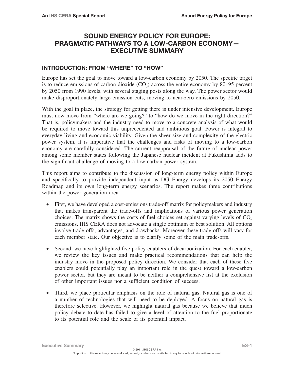## Sound Energy Policy for Europe: Pragmatic Pathways to a Low-Carbon Economy— Executive Summary

#### Introduction: From "Where" to "How"

Europe has set the goal to move toward a low-carbon economy by 2050. The specific target is to reduce emissions of carbon dioxide  $(CO_2)$  across the entire economy by 80–95 percent by 2050 from 1990 levels, with several staging posts along the way. The power sector would make disproportionately large emission cuts, moving to near-zero emissions by 2050.

With the goal in place, the strategy for getting there is under intensive development. Europe must now move from "where are we going?" to "how do we move in the right direction?" That is, policymakers and the industry need to move to a concrete analysis of what would be required to move toward this unprecedented and ambitious goal. Power is integral to everyday living and economic viability. Given the sheer size and complexity of the electric power system, it is imperative that the challenges and risks of moving to a low-carbon economy are carefully considered. The current reappraisal of the future of nuclear power among some member states following the Japanese nuclear incident at Fukushima adds to the significant challenge of moving to a low-carbon power system.

This report aims to contribute to the discussion of long-term energy policy within Europe and specifically to provide independent input as DG Energy develops its 2050 Energy Roadmap and its own long-term energy scenarios. The report makes three contributions within the power generation area.

- First, we have developed a cost-emissions trade-off matrix for policymakers and industry that makes transparent the trade-offs and implications of various power generation choices. The matrix shows the costs of fuel choices set against varying levels of  $CO<sub>2</sub>$ emissions. IHS CERA does not advocate a single optimum or best solution. All options involve trade-offs, advantages, and drawbacks. Moreover these trade-offs will vary for each member state. Our objective is to clarify some of the main trade-offs.
- Second, we have highlighted five policy enablers of decarbonization. For each enabler, we review the key issues and make practical recommendations that can help the industry move in the proposed policy direction. We consider that each of these five enablers could potentially play an important role in the quest toward a low-carbon power sector, but they are meant to be neither a comprehensive list at the exclusion of other important issues nor a sufficient condition of success.
- Third, we place particular emphasis on the role of natural gas. Natural gas is one of a number of technologies that will need to be deployed. A focus on natural gas is therefore selective. However, we highlight natural gas because we believe that much policy debate to date has failed to give a level of attention to the fuel proportionate to its potential role and the scale of its potential impact.

**Executive Summary EXECUTE:** ES-1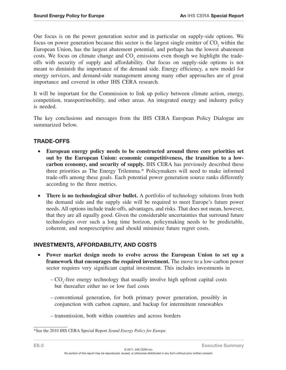Our focus is on the power generation sector and in particular on supply-side options. We focus on power generation because this sector is the largest single emitter of  $CO_2$  within the European Union, has the largest abatement potential, and perhaps has the lowest abatement costs. We focus on climate change and  $CO_2$  emissions even though we highlight the tradeoffs with security of supply and affordability. Our focus on supply-side options is not meant to diminish the importance of the demand side. Energy efficiency, a new model for energy services, and demand-side management among many other approaches are of great importance and covered in other IHS CERA research.

It will be important for the Commission to link up policy between climate action, energy, competition, transport/mobility, and other areas. An integrated energy and industry policy is needed.

The key conclusions and messages from the IHS CERA European Policy Dialogue are summarized below.

## Trade-Offs

- • **European energy policy needs to be constructed around three core priorities set out by the European Union: economic competitiveness, the transition to a lowcarbon economy, and security of supply.** IHS CERA has previously described these three priorities as The Energy Trilemma.\* Policymakers will need to make informed trade-offs among these goals. Each potential power generation source ranks differently according to the three metrics.
- **There is no technological silver bullet.** A portfolio of technology solutions from both the demand side and the supply side will be required to meet Europe's future power needs. All options include trade-offs, advantages, and risks. That does not mean, however, that they are all equally good. Given the considerable uncertainties that surround future technologies over such a long time horizon, policymaking needs to be predictable, coherent, and nonprescriptive and should minimize future regret costs.

## Investments, Affordability, and Costs

- Power market design needs to evolve across the European Union to set up a **framework that encourages the required investment.** The move to a low-carbon power sector requires very significant capital investment. This includes investments in
	- $-CO<sub>2</sub>$ -free energy technology that usually involve high upfront capital costs but thereafter either no or low fuel costs
	- conventional generation, for both primary power generation, possibly in conjunction with carbon capture, and backup for intermittent renewables
	- transmission, both within countries and across borders

<sup>\*</sup>See the 2010 IHS CERA Special Report *Sound Energy Policy for Europe.*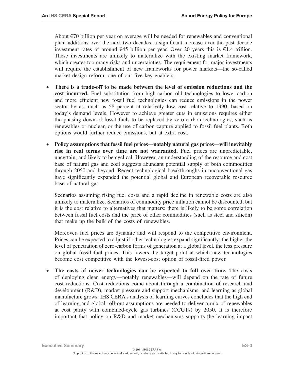About  $\epsilon$ 70 billion per year on average will be needed for renewables and conventional plant additions over the next two decades, a significant increase over the past decade investment rates of around  $645$  billion per year. Over 20 years this is  $61.4$  trillion. These investments are unlikely to materialize with the existing market framework, which creates too many risks and uncertainties. The requirement for major investments will require the establishment of new frameworks for power markets—the so-called market design reform, one of our five key enablers.

- There is a trade-off to be made between the level of emission reductions and the **cost incurred.** Fuel substitution from high-carbon old technologies to lower-carbon and more efficient new fossil fuel technologies can reduce emissions in the power sector by as much as 58 percent at relatively low cost relative to 1990, based on today's demand levels. However to achieve greater cuts in emissions requires either the phasing down of fossil fuels to be replaced by zero-carbon technologies, such as renewables or nuclear, or the use of carbon capture applied to fossil fuel plants. Both options would further reduce emissions, but at extra cost.
- Policy assumptions that fossil fuel prices—notably natural gas prices—will inevitably **rise in real terms over time are not warranted.** Fuel prices are unpredictable, uncertain, and likely to be cyclical. However, an understanding of the resource and cost base of natural gas and coal suggests abundant potential supply of both commodities through 2050 and beyond. Recent technological breakthroughs in unconventional gas have significantly expanded the potential global and European recoverable resource base of natural gas.

Scenarios assuming rising fuel costs and a rapid decline in renewable costs are also unlikely to materialize. Scenarios of commodity price inflation cannot be discounted, but it is the cost relative to alternatives that matters: there is likely to be some correlation between fossil fuel costs and the price of other commodities (such as steel and silicon) that make up the bulk of the costs of renewables.

Moreover, fuel prices are dynamic and will respond to the competitive environment. Prices can be expected to adjust if other technologies expand significantly: the higher the level of penetration of zero-carbon forms of generation at a global level, the less pressure on global fossil fuel prices. This lowers the target point at which new technologies become cost competitive with the lowest-cost option of fossil-fired power.

• The costs of newer technologies can be expected to fall over time. The costs of deploying clean energy—notably renewables—will depend on the rate of future cost reductions. Cost reductions come about through a combination of research and development (R&D), market pressure and support mechanisms, and learning as global manufacture grows. IHS CERA's analysis of learning curves concludes that the high end of learning and global roll-out assumptions are needed to deliver a mix of renewables at cost parity with combined-cycle gas turbines (CCGTs) by 2050. It is therefore important that policy on R&D and market mechanisms supports the learning impact

© 2011, IHS CERA Inc. No portion of this report may be reproduced, reused, or otherwise distributed in any form without prior written consent. **Executive Summary EXECUTE EXECUTE SUMMARY EXECUTE EXECUTE EXECUTE EXECUTE EXECUTE EXECUTE EXECUTE EXECUTE EXECU**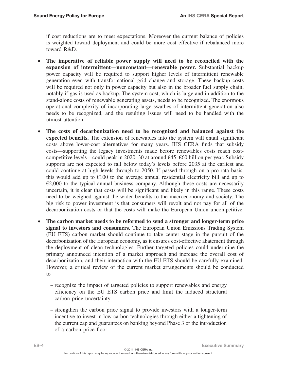if cost reductions are to meet expectations. Moreover the current balance of policies is weighted toward deployment and could be more cost effective if rebalanced more toward R&D.

- • **The imperative of reliable power supply will need to be reconciled with the expansion of intermittent—nonconstant—renewable power.** Substantial backup power capacity will be required to support higher levels of intermittent renewable generation even with transformational grid change and storage. These backup costs will be required not only in power capacity but also in the broader fuel supply chain, notably if gas is used as backup. The system cost, which is large and in addition to the stand-alone costs of renewable generating assets, needs to be recognized. The enormous operational complexity of incorporating large swathes of intermittent generation also needs to be recognized, and the resulting issues will need to be handled with the utmost attention.
- • **The costs of decarbonization need to be recognized and balanced against the expected benefits.** The extension of renewables into the system will entail significant costs above lower-cost alternatives for many years. IHS CERA finds that subsidy costs—supporting the legacy investments made before renewables costs reach costcompetitive levels—could peak in 2020–30 at around €45–€60 billion per year. Subsidy supports are not expected to fall below today's levels before 2035 at the earliest and could continue at high levels through to 2050. If passed through on a pro-rata basis, this would add up to  $E100$  to the average annual residential electricity bill and up to  $\epsilon$ 2,000 to the typical annual business company. Although these costs are necessarily uncertain, it is clear that costs will be significant and likely in this range. These costs need to be weighed against the wider benefits to the macroeconomy and society. The big risk to power investment is that consumers will revolt and not pay for all of the decarbonization costs or that the costs will make the European Union uncompetitive.
- • **The carbon market needs to be reformed to send a stronger and longer-term price signal to investors and consumers.** The European Union Emissions Trading System (EU ETS) carbon market should continue to take center stage in the pursuit of the decarbonization of the European economy, as it ensures cost-effective abatement through the deployment of clean technologies. Further targeted policies could undermine the primary announced intention of a market approach and increase the overall cost of decarbonization, and their interaction with the EU ETS should be carefully examined. However, a critical review of the current market arrangements should be conducted to
	- recognize the impact of targeted policies to support renewables and energy efficiency on the EU ETS carbon price and limit the induced structural carbon price uncertainty
	- strengthen the carbon price signal to provide investors with a longer-term incentive to invest in low-carbon technologies through either a tightening of the current cap and guarantees on banking beyond Phase 3 or the introduction of a carbon price floor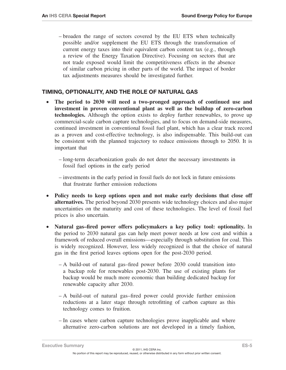– broaden the range of sectors covered by the EU ETS when technically possible and/or supplement the EU ETS through the transformation of current energy taxes into their equivalent carbon content tax (e.g., through a review of the Energy Taxation Directive). Focusing on sectors that are not trade exposed would limit the competitiveness effects in the absence of similar carbon pricing in other parts of the world. The impact of border tax adjustments measures should be investigated further.

#### Timing, Optionality, and the Role of Natural Gas

- • **The period to 2030 will need a two-pronged approach of continued use and investment in proven conventional plant as well as the buildup of zero-carbon technologies.** Although the option exists to deploy further renewables, to prove up commercial-scale carbon capture technologies, and to focus on demand-side measures, continued investment in conventional fossil fuel plant, which has a clear track record as a proven and cost-effective technology, is also indispensable. This build-out can be consistent with the planned trajectory to reduce emissions through to 2050. It is important that
	- long-term decarbonization goals do not deter the necessary investments in fossil fuel options in the early period
	- investments in the early period in fossil fuels do not lock in future emissions that frustrate further emission reductions
- Policy needs to keep options open and not make early decisions that close off **alternatives.** The period beyond 2030 presents wide technology choices and also major uncertainties on the maturity and cost of these technologies. The level of fossil fuel prices is also uncertain.
- • **Natural gas–fired power offers policymakers a key policy tool: optionality.** In the period to 2030 natural gas can help meet power needs at low cost and within a framework of reduced overall emissions—especially through substitution for coal. This is widely recognized. However, less widely recognized is that the choice of natural gas in the first period leaves options open for the post-2030 period.
	- A build-out of natural gas–fired power before 2030 could transition into a backup role for renewables post-2030. The use of existing plants for backup would be much more economic than building dedicated backup for renewable capacity after 2030.
	- A build-out of natural gas–fired power could provide further emission reductions at a later stage through retrofitting of carbon capture as this technology comes to fruition.
	- In cases where carbon capture technologies prove inapplicable and where alternative zero-carbon solutions are not developed in a timely fashion,

Executive Summary ES-5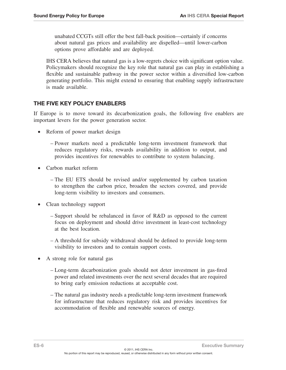unabated CCGTs still offer the best fall-back position—certainly if concerns about natural gas prices and availability are dispelled—until lower-carbon options prove affordable and are deployed.

IHS CERA believes that natural gas is a low-regrets choice with significant option value. Policymakers should recognize the key role that natural gas can play in establishing a flexible and sustainable pathway in the power sector within a diversified low-carbon generating portfolio. This might extend to ensuring that enabling supply infrastructure is made available.

### The Five Key Policy Enablers

If Europe is to move toward its decarbonization goals, the following five enablers are important levers for the power generation sector.

- Reform of power market design
	- Power markets need a predictable long-term investment framework that reduces regulatory risks, rewards availability in addition to output, and provides incentives for renewables to contribute to system balancing.
- Carbon market reform
	- The EU ETS should be revised and/or supplemented by carbon taxation to strengthen the carbon price, broaden the sectors covered, and provide long-term visibility to investors and consumers.
- Clean technology support
	- Support should be rebalanced in favor of R&D as opposed to the current focus on deployment and should drive investment in least-cost technology at the best location.
	- A threshold for subsidy withdrawal should be defined to provide long-term visibility to investors and to contain support costs.
- A strong role for natural gas
	- Long-term decarbonization goals should not deter investment in gas-fired power and related investments over the next several decades that are required to bring early emission reductions at acceptable cost.
	- The natural gas industry needs a predictable long-term investment framework for infrastructure that reduces regulatory risk and provides incentives for accommodation of flexible and renewable sources of energy.